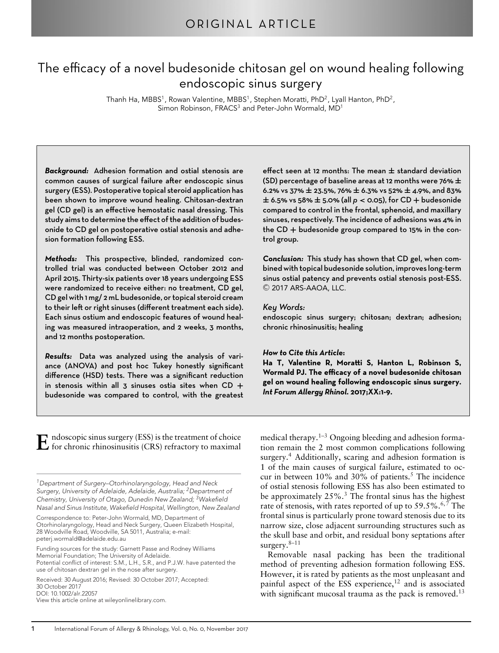# The efficacy of a novel budesonide chitosan gel on wound healing following endoscopic sinus surgery

Thanh Ha, MBBS<sup>1</sup>, Rowan Valentine, MBBS<sup>1</sup>, Stephen Moratti, PhD<sup>2</sup>, Lyall Hanton, PhD<sup>2</sup>, Simon Robinson, FRACS<sup>3</sup> and Peter-John Wormald, MD<sup>1</sup>

*Background:* Adhesion formation and ostial stenosis are common causes of surgical failure after endoscopic sinus surgery (ESS). Postoperative topical steroid application has been shown to improve wound healing. Chitosan-dextran gel (CD gel) is an effective hemostatic nasal dressing. This study aims to determine the effect of the addition of budesonide to CD gel on postoperative ostial stenosis and adhesion formation following ESS.

*Methods:* This prospective, blinded, randomized controlled trial was conducted between October 2012 and April 2015. Thirty-six patients over 18 years undergoing ESS were randomized to receive either: no treatment, CD gel, CD gel with 1 mg/ 2 mL budesonide, or topical steroid cream to their left or right sinuses (different treatment each side). Each sinus ostium and endoscopic features of wound healing was measured intraoperation, and 2 weeks, 3 months, and 12 months postoperation.

*Results:* Data was analyzed using the analysis of variance (ANOVA) and post hoc Tukey honestly significant difference (HSD) tests. There was a significant reduction in stenosis within all 3 sinuses ostia sites when CD **+** budesonide was compared to control, with the greatest effect seen at 12 months: The mean **±** standard deviation (SD) percentage of baseline areas at 12 months were 76% **±** 6.2% vs 37% **±** 23.5%, 76% **±** 6.3% vs 52% **±** 4.9%, and 83% **<sup>±</sup>** 6.5% vs 58% **<sup>±</sup>** 5.0% (all *<sup>p</sup> <sup>&</sup>lt;* 0.05), for CD **<sup>+</sup>** budesonide compared to control in the frontal, sphenoid, and maxillary sinuses, respectively. The incidence of adhesions was 4% in the CD **+** budesonide group compared to 15% in the control group.

*Conclusion:* This study has shown that CD gel, when combined with topical budesonide solution, improves long-term sinus ostial patency and prevents ostial stenosis post-ESS.  $\odot$  2017 ARS-AAOA, LLC.

#### *Key Words:*

endoscopic sinus surgery; chitosan; dextran; adhesion; chronic rhinosinusitis; healing

#### *How to Cite this Article***:**

Ha T, Valentine R, Moratti S, Hanton L, Robinson S, **Wormald PJ. The efficacy of a novel budesonide chitosan gel on wound healing following endoscopic sinus surgery.** *Int Forum Allergy Rhinol***. 2017;XX:1-9.**

 $\bf E$  ndoscopic sinus surgery (ESS) is the treatment of choice<br>for chronic rhinosinusitis (CRS) refractory to maximal

*1Department of Surgery–Otorhinolaryngology, Head and Neck Surgery, University of Adelaide, Adelaide, Australia; 2Department of Chemistry, University of Otago, Dunedin New Zealand; 3Wakefield Nasal and Sinus Institute, Wakefield Hospital, Wellington, New Zealand*

Correspondence to: Peter-John Wormald, MD, Department of Otorhinolaryngology, Head and Neck Surgery, Queen Elizabeth Hospital, 28 Woodville Road, Woodville, SA 5011, Australia; e-mail: peterj.wormald@adelaide.edu.au

Funding sources for the study: Garnett Passe and Rodney Williams Memorial Foundation; The University of Adelaide. Potential conflict of interest: S.M., L.H., S.R., and P.J.W. have patented the

use of chitosan dextran gel in the nose after surgery. Received: 30 August 2016; Revised: 30 October 2017; Accepted:

30 October 2017 DOI: 10.1002/alr.22057

View this article online at wileyonlinelibrary.com.

medical therapy.<sup>1–3</sup> Ongoing bleeding and adhesion formation remain the 2 most common complications following surgery.<sup>4</sup> Additionally, scaring and adhesion formation is 1 of the main causes of surgical failure, estimated to occur in between  $10\%$  and  $30\%$  of patients.<sup>5</sup> The incidence of ostial stenosis following ESS has also been estimated to be approximately  $25\%$ .<sup>3</sup> The frontal sinus has the highest rate of stenosis, with rates reported of up to  $59.5\%$ .<sup>6,7</sup> The frontal sinus is particularly prone toward stenosis due to its narrow size, close adjacent surrounding structures such as the skull base and orbit, and residual bony septations after surgery. $8-11$ 

Removable nasal packing has been the traditional method of preventing adhesion formation following ESS. However, it is rated by patients as the most unpleasant and painful aspect of the ESS experience, $12$  and is associated with significant mucosal trauma as the pack is removed.<sup>13</sup>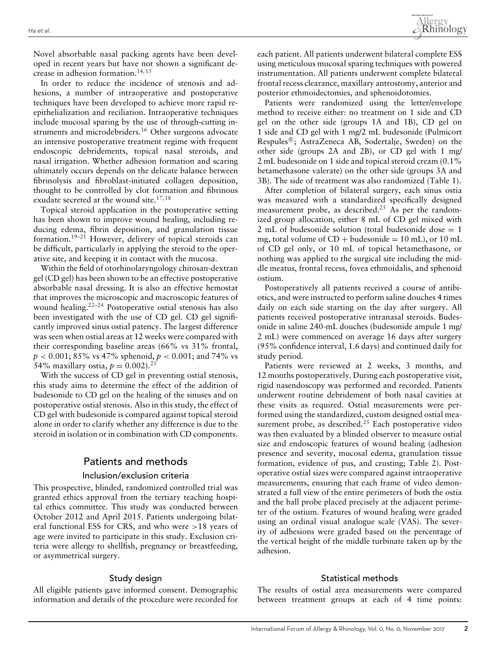Novel absorbable nasal packing agents have been developed in recent years but have not shown a significant decrease in adhesion formation.<sup>14,15</sup>

In order to reduce the incidence of stenosis and adhesions, a number of intraoperative and postoperative techniques have been developed to achieve more rapid reepithelialization and reciliation. Intraoperative techniques include mucosal sparing by the use of through-cutting instruments and microdebriders.<sup>16</sup> Other surgeons advocate an intensive postoperative treatment regime with frequent endoscopic debridements, topical nasal steroids, and nasal irrigation. Whether adhesion formation and scaring ultimately occurs depends on the delicate balance between fibrinolysis and fibroblast-initiated collagen deposition, thought to be controlled by clot formation and fibrinous exudate secreted at the wound site.<sup>17,18</sup>

Topical steroid application in the postoperative setting has been shown to improve wound healing, including reducing edema, fibrin deposition, and granulation tissue formation.19–21 However, delivery of topical steroids can be difficult, particularly in applying the steroid to the operative site, and keeping it in contact with the mucosa.

Within the field of otorhinolaryngology chitosan-dextran gel (CD gel) has been shown to be an effective postoperative absorbable nasal dressing. It is also an effective hemostat that improves the microscopic and macroscopic features of wound healing.22–24 Postoperative ostial stenosis has also been investigated with the use of CD gel. CD gel significantly improved sinus ostial patency. The largest difference was seen when ostial areas at 12 weeks were compared with their corresponding baseline areas (66% vs 31% frontal, *p <* 0.001; 85% vs 47% sphenoid, *p <* 0.001; and 74% vs 54% maxillary ostia,  $p = 0.002$ ).<sup>25</sup>

With the success of CD gel in preventing ostial stenosis, this study aims to determine the effect of the addition of budesonide to CD gel on the healing of the sinuses and on postoperative ostial stenosis. Also in this study, the effect of CD gel with budesonide is compared against topical steroid alone in order to clarify whether any difference is due to the steroid in isolation or in combination with CD components.

## Patients and methods

#### Inclusion/exclusion criteria

This prospective, blinded, randomized controlled trial was granted ethics approval from the tertiary teaching hospital ethics committee. This study was conducted between October 2012 and April 2015. Patients undergoing bilateral functional ESS for CRS, and who were *>*18 years of age were invited to participate in this study. Exclusion criteria were allergy to shellfish, pregnancy or breastfeeding, or asymmetrical surgery.

#### Study design

All eligible patients gave informed consent. Demographic information and details of the procedure were recorded for each patient. All patients underwent bilateral complete ESS using meticulous mucosal sparing techniques with powered instrumentation. All patients underwent complete bilateral frontal recess clearance, maxillary antrostomy, anterior and posterior ethmoidectomies, and sphenoidotomies.

Patients were randomized using the letter/envelope method to receive either: no treatment on 1 side and CD gel on the other side (groups 1A and 1B), CD gel on 1 side and CD gel with 1 mg/2 mL budesonide (Pulmicort Respules®; AstraZeneca AB, Sodertalje, Sweden) on the other side (groups 2A and 2B), or CD gel with 1 mg/ 2 mL budesonide on 1 side and topical steroid cream (0.1% betamethasone valerate) on the other side (groups 3A and 3B). The side of treatment was also randomized (Table 1).

After completion of bilateral surgery, each sinus ostia was measured with a standardized specifically designed measurement probe, as described.<sup>25</sup> As per the randomized group allocation, either 8 mL of CD gel mixed with 2 mL of budesonide solution (total budesonide dose  $= 1$ mg, total volume of  $CD +$  budesonide = 10 mL), or 10 mL of CD gel only, or 10 mL of topical betamethasone, or nothing was applied to the surgical site including the middle meatus, frontal recess, fovea ethmoidalis, and sphenoid ostium.

Postoperatively all patients received a course of antibiotics, and were instructed to perform saline douches 4 times daily on each side starting on the day after surgery. All patients received postoperative intranasal steroids. Budesonide in saline 240-mL douches (budesonide ampule 1 mg/ 2 mL) were commenced on average 16 days after surgery (95% confidence interval, 1.6 days) and continued daily for study period.

Patients were reviewed at 2 weeks, 3 months, and 12 months postoperatively. During each postoperative visit, rigid nasendoscopy was performed and recorded. Patients underwent routine debridement of both nasal cavities at these visits as required. Ostial measurements were performed using the standardized, custom designed ostial measurement probe, as described.<sup>25</sup> Each postoperative video was then evaluated by a blinded observer to measure ostial size and endoscopic features of wound healing (adhesion presence and severity, mucosal edema, granulation tissue formation, evidence of pus, and crusting; Table 2). Postoperative ostial sizes were compared against intraoperative measurements, ensuring that each frame of video demonstrated a full view of the entire perimeters of both the ostia and the ball probe placed precisely at the adjacent perimeter of the ostium. Features of wound healing were graded using an ordinal visual analogue scale (VAS). The severity of adhesions were graded based on the percentage of the vertical height of the middle turbinate taken up by the adhesion.

#### Statistical methods

The results of ostial area measurements were compared between treatment groups at each of 4 time points: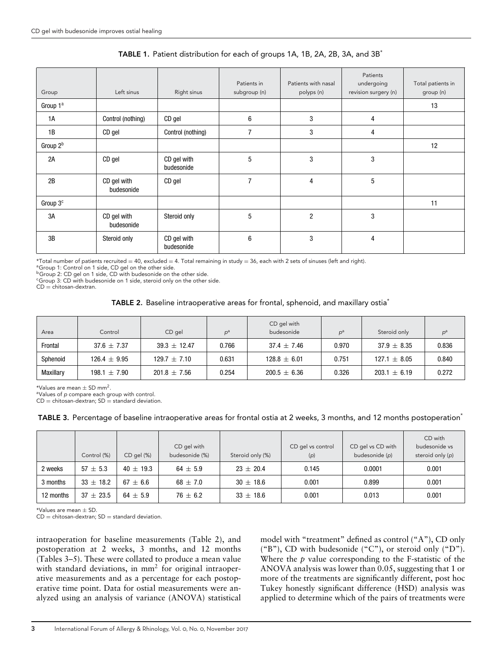| Group                | Left sinus                | Right sinus               | Patients in<br>subgroup (n) | Patients with nasal<br>polyps (n) | Patients<br>undergoing<br>revision surgery (n) | Total patients in<br>group (n) |
|----------------------|---------------------------|---------------------------|-----------------------------|-----------------------------------|------------------------------------------------|--------------------------------|
| Group 1ª             |                           |                           |                             |                                   |                                                | 13                             |
| 1A                   | Control (nothing)         | CD gel                    | $6\phantom{1}$              | 3                                 | 4                                              |                                |
| 1B                   | CD gel                    | Control (nothing)         | $\overline{7}$              | 3                                 | 4                                              |                                |
| Group 2 <sup>b</sup> |                           |                           |                             |                                   |                                                | 12                             |
| 2A                   | CD gel                    | CD gel with<br>budesonide | $5\phantom{.0}$             | 3                                 | 3                                              |                                |
| 2B                   | CD gel with<br>budesonide | CD gel                    | 7                           | $\overline{4}$                    | 5                                              |                                |
| Group $3c$           |                           |                           |                             |                                   |                                                | 11                             |
| 3A                   | CD gel with<br>budesonide | Steroid only              | 5                           | $\overline{2}$                    | 3                                              |                                |
| 3B                   | Steroid only              | CD gel with<br>budesonide | 6                           | 3                                 | 4                                              |                                |

## TABLE 1. Patient distribution for each of groups 1A, 1B, 2A, 2B, 3A, and 3B\*

 $*$ Total number of patients recruited = 40, excluded = 4. Total remaining in study = 36, each with 2 sets of sinuses (left and right).<br>ªGroup 1: Control on 1 side, CD gel on the other side.

<sup>b</sup>Group 2: CD gel on 1 side, CD with budesonide on the other side.

<sup>c</sup>Group 3: CD with budesonide on 1 side, steroid only on the other side.

 $CD =$  chitosan-dextran.

## TABLE 2. Baseline intraoperative areas for frontal, sphenoid, and maxillary ostia<sup>\*</sup>

| Area      | Control          | CD gel           | $D^a$ | CD gel with<br>budesonide | pª    | Steroid only     | pª    |
|-----------|------------------|------------------|-------|---------------------------|-------|------------------|-------|
| Frontal   | $37.6 \pm 7.37$  | $39.3 + 12.47$   | 0.766 | $37.4 \pm 7.46$           | 0.970 | $37.9 \pm 8.35$  | 0.836 |
| Sphenoid  | $126.4 \pm 9.95$ | $129.7 \pm 7.10$ | 0.631 | $128.8 \pm 6.01$          | 0.751 | $127.1 \pm 8.05$ | 0.840 |
| Maxillary | $198.1 \pm 7.90$ | $201.8 \pm 7.56$ | 0.254 | $200.5 \pm 6.36$          | 0.326 | $203.1 \pm 6.19$ | 0.272 |

\*Values are mean  $\pm$  SD mm<sup>2</sup>.<br><sup>a</sup>Values of *p* compare each group with control.

 $CD =$  chitosan-dextran;  $SD =$  standard deviation.

TABLE 3. Percentage of baseline intraoperative areas for frontal ostia at 2 weeks, 3 months, and 12 months postoperation<sup>\*</sup>

|           | Control (%)   | $CD$ gel $(\%)$ | CD gel with<br>budesonide (%) | Steroid only (%) | CD gel vs control<br>(p) | CD gel vs CD with<br>budesonide (p) | CD with<br>budesonide vs<br>steroid only (p) |
|-----------|---------------|-----------------|-------------------------------|------------------|--------------------------|-------------------------------------|----------------------------------------------|
| 2 weeks   | $57 + 5.3$    | $40 \pm 19.3$   | $64 \pm 5.9$                  | $23 \pm 20.4$    | 0.145                    | 0.0001                              | 0.001                                        |
| 3 months  | $33 \pm 18.2$ | $67 + 6.6$      | $68 + 7.0$                    | $30 \pm 18.6$    | 0.001                    | 0.899                               | 0.001                                        |
| 12 months | $37 + 23.5$   | $64 + 5.9$      | $76 \pm 6.2$                  | $33 \pm 18.6$    | 0.001                    | 0.013                               | 0.001                                        |

\*Values are mean ± SD.

CD = chitosan-dextran;  $SD =$  standard deviation.

intraoperation for baseline measurements (Table 2), and postoperation at 2 weeks, 3 months, and 12 months (Tables 3–5). These were collated to produce a mean value with standard deviations, in  $mm<sup>2</sup>$  for original intraoperative measurements and as a percentage for each postoperative time point. Data for ostial measurements were analyzed using an analysis of variance (ANOVA) statistical model with "treatment" defined as control ("A"), CD only ("B"), CD with budesonide ("C"), or steroid only ("D"). Where the *p* value corresponding to the F-statistic of the ANOVA analysis was lower than 0.05, suggesting that 1 or more of the treatments are significantly different, post hoc Tukey honestly significant difference (HSD) analysis was applied to determine which of the pairs of treatments were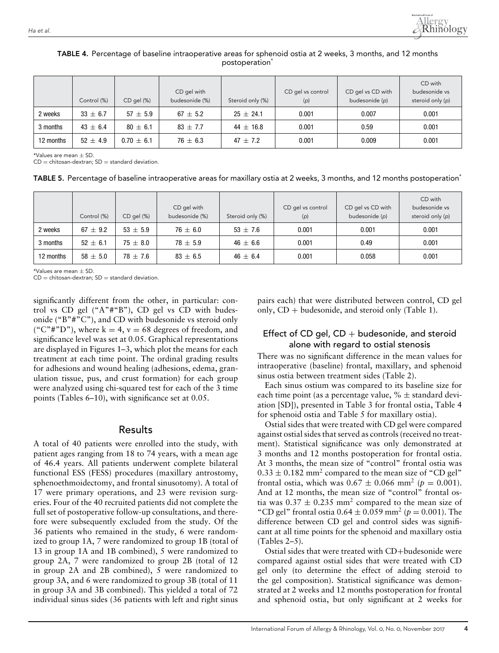

|           | Control (%)  | CD gel (%)     | CD gel with<br>budesonide (%) | Steroid only (%) | CD gel vs control<br>(p) | CD gel vs CD with<br>budesonide (p) | CD with<br>budesonide vs<br>steroid only (p) |
|-----------|--------------|----------------|-------------------------------|------------------|--------------------------|-------------------------------------|----------------------------------------------|
| 2 weeks   | $33 \pm 6.7$ | $57 + 5.9$     | $67 \pm 5.2$                  | $25 \pm 24.1$    | 0.001                    | 0.007                               | 0.001                                        |
| 3 months  | $43 \pm 6.4$ | $80 \pm 6.1$   | $83 + 7.7$                    | $44 \pm 16.8$    | 0.001                    | 0.59                                | 0.001                                        |
| 12 months | $52 + 4.9$   | $0.70 \pm 6.1$ | $76 \pm 6.3$                  | $47 + 7.2$       | 0.001                    | 0.009                               | 0.001                                        |

## TABLE 4. Percentage of baseline intraoperative areas for sphenoid ostia at 2 weeks, 3 months, and 12 months postoperation<sup>\*</sup>

 $*$ Values are mean  $+$  SD.

 $CD =$  chitosan-dextran;  $SD =$  standard deviation.

TABLE 5. Percentage of baseline intraoperative areas for maxillary ostia at 2 weeks, 3 months, and 12 months postoperation<sup>\*</sup>

|           | Control (%)  | CD gel (%)   | CD gel with<br>budesonide (%) | Steroid only (%) | CD gel vs control<br>(p) | CD gel vs CD with<br>budesonide (p) | CD with<br>budesonide vs<br>steroid only (p) |
|-----------|--------------|--------------|-------------------------------|------------------|--------------------------|-------------------------------------|----------------------------------------------|
| 2 weeks   | $67 \pm 9.2$ | $53 \pm 5.9$ | $76 \pm 6.0$                  | $53 \pm 7.6$     | 0.001                    | 0.001                               | 0.001                                        |
| 3 months  | $52 \pm 6.1$ | $75 \pm 8.0$ | $78 \pm 5.9$                  | $46 \pm 6.6$     | 0.001                    | 0.49                                | 0.001                                        |
| 12 months | $58 \pm 5.0$ | $78 \pm 7.6$ | $83 \pm 6.5$                  | $46 \pm 6.4$     | 0.001                    | 0.058                               | 0.001                                        |

\*Values are mean  $\pm$  SD

 $CD =$  chitosan-dextran;  $SD =$  standard deviation.

significantly different from the other, in particular: control vs CD gel ("A"#"B"), CD gel vs CD with budesonide ("B"#"C"), and CD with budesonide vs steroid only ("C"#"D"), where  $k = 4$ ,  $v = 68$  degrees of freedom, and significance level was set at 0.05. Graphical representations are displayed in Figures 1–3, which plot the means for each treatment at each time point. The ordinal grading results for adhesions and wound healing (adhesions, edema, granulation tissue, pus, and crust formation) for each group were analyzed using chi-squared test for each of the 3 time points (Tables 6–10), with significance set at 0.05.

#### Results

A total of 40 patients were enrolled into the study, with patient ages ranging from 18 to 74 years, with a mean age of 46.4 years. All patients underwent complete bilateral functional ESS (FESS) procedures (maxillary antrostomy, sphenoethmoidectomy, and frontal sinusotomy). A total of 17 were primary operations, and 23 were revision surgeries. Four of the 40 recruited patients did not complete the full set of postoperative follow-up consultations, and therefore were subsequently excluded from the study. Of the 36 patients who remained in the study, 6 were randomized to group 1A, 7 were randomized to group 1B (total of 13 in group 1A and 1B combined), 5 were randomized to group 2A, 7 were randomized to group 2B (total of 12 in group 2A and 2B combined), 5 were randomized to group 3A, and 6 were randomized to group 3B (total of 11 in group 3A and 3B combined). This yielded a total of 72 individual sinus sides (36 patients with left and right sinus

pairs each) that were distributed between control, CD gel only,  $CD +$  budesonide, and steroid only (Table 1).

## Effect of CD gel,  $CD +$  budesonide, and steroid alone with regard to ostial stenosis

There was no significant difference in the mean values for intraoperative (baseline) frontal, maxillary, and sphenoid sinus ostia between treatment sides (Table 2).

Each sinus ostium was compared to its baseline size for each time point (as a percentage value,  $% \pm$  standard deviation [SD]), presented in Table 3 for frontal ostia, Table 4 for sphenoid ostia and Table 5 for maxillary ostia).

Ostial sides that were treated with CD gel were compared against ostial sides that served as controls (received no treatment). Statistical significance was only demonstrated at 3 months and 12 months postoperation for frontal ostia. At 3 months, the mean size of "control" frontal ostia was  $0.33 \pm 0.182$  mm<sup>2</sup> compared to the mean size of "CD gel" frontal ostia, which was  $0.67 \pm 0.066$  mm<sup>2</sup> ( $p = 0.001$ ). And at 12 months, the mean size of "control" frontal ostia was  $0.37 \pm 0.235$  mm<sup>2</sup> compared to the mean size of "CD gel" frontal ostia  $0.64 \pm 0.059$  mm<sup>2</sup> ( $p = 0.001$ ). The difference between CD gel and control sides was significant at all time points for the sphenoid and maxillary ostia (Tables 2–5).

Ostial sides that were treated with CD+budesonide were compared against ostial sides that were treated with CD gel only (to determine the effect of adding steroid to the gel composition). Statistical significance was demonstrated at 2 weeks and 12 months postoperation for frontal and sphenoid ostia, but only significant at 2 weeks for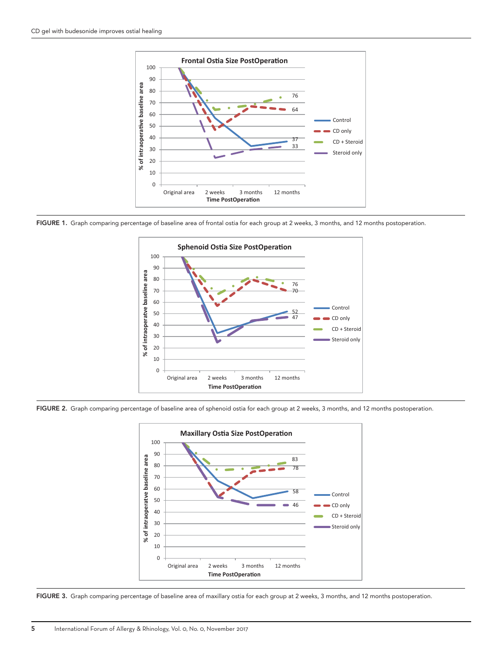

FIGURE 1. Graph comparing percentage of baseline area of frontal ostia for each group at 2 weeks, 3 months, and 12 months postoperation.



FIGURE 2. Graph comparing percentage of baseline area of sphenoid ostia for each group at 2 weeks, 3 months, and 12 months postoperation.



FIGURE 3. Graph comparing percentage of baseline area of maxillary ostia for each group at 2 weeks, 3 months, and 12 months postoperation.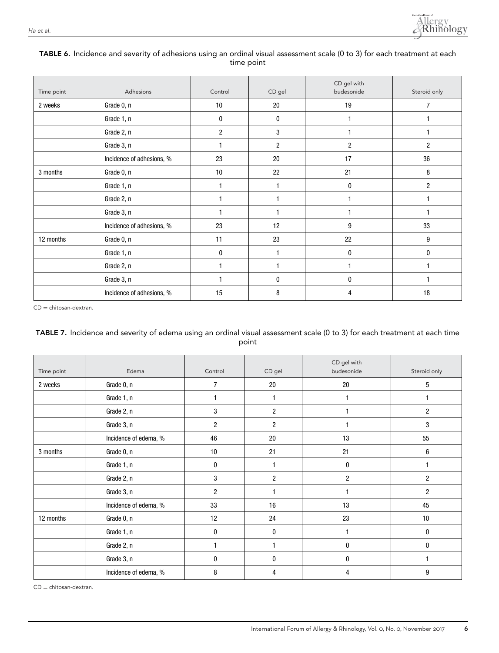

#### TABLE 6. Incidence and severity of adhesions using an ordinal visual assessment scale (0 to 3) for each treatment at each time point

| Time point | Adhesions                 | Control        | CD gel       | CD gel with<br>budesonide | Steroid only   |
|------------|---------------------------|----------------|--------------|---------------------------|----------------|
| 2 weeks    | Grade 0, n                | 10             | 20           | 19                        | 7              |
|            | Grade 1, n                | 0              | 0            | 1                         |                |
|            | Grade 2, n                | $\overline{2}$ | 3            |                           |                |
|            | Grade 3, n                | 1              | 2            | 2                         | 2              |
|            | Incidence of adhesions, % | 23             | 20           | 17                        | 36             |
| 3 months   | Grade 0, n                | 10             | 22           | 21                        | 8              |
|            | Grade 1, n                | 1              | $\mathbf{1}$ | 0                         | $\overline{2}$ |
|            | Grade 2, n                | $\overline{1}$ | 1            |                           |                |
|            | Grade 3, n                | $\overline{1}$ | $\mathbf{1}$ |                           |                |
|            | Incidence of adhesions, % | 23             | 12           | 9                         | 33             |
| 12 months  | Grade 0, n                | 11             | 23           | 22                        | 9              |
|            | Grade 1, n                | 0              | $\mathbf 1$  | 0                         | 0              |
|            | Grade 2, n                | 1              | $\mathbf{1}$ |                           |                |
|            | Grade 3, n                | 1              | 0            | 0                         |                |
|            | Incidence of adhesions, % | 15             | 8            | 4                         | 18             |

CD = chitosan-dextran.

## TABLE 7. Incidence and severity of edema using an ordinal visual assessment scale (0 to 3) for each treatment at each time point

| Time point | Edema                 | Control          | CD gel         | CD gel with<br>budesonide | Steroid only   |
|------------|-----------------------|------------------|----------------|---------------------------|----------------|
| 2 weeks    | Grade 0, n            | $\overline{7}$   | 20             | 20                        | 5              |
|            | Grade 1, n            | 1                |                | 1                         | 1              |
|            | Grade 2, n            | 3                | $\overline{2}$ |                           | $\overline{c}$ |
|            | Grade 3, n            | $\overline{c}$   | $\overline{2}$ |                           | 3              |
|            | Incidence of edema, % | 46               | 20             | 13                        | 55             |
| 3 months   | Grade 0, n            | 10               | 21             | 21                        | $\,6\,$        |
|            | Grade 1, n            | $\boldsymbol{0}$ |                | $\bf{0}$                  |                |
|            | Grade 2, n            | 3                | $\overline{c}$ | $\overline{2}$            | $\overline{c}$ |
|            | Grade 3, n            | $\overline{2}$   |                | 1                         | $\overline{2}$ |
|            | Incidence of edema, % | 33               | 16             | 13                        | 45             |
| 12 months  | Grade 0, n            | 12               | 24             | 23                        | 10             |
|            | Grade 1, n            | 0                | 0              | 1                         | 0              |
|            | Grade 2, n            |                  |                | 0                         | 0              |
|            | Grade 3, n            | 0                | 0              | 0                         | 1              |
|            | Incidence of edema, % | 8                | 4              | 4                         | 9              |

CD = chitosan-dextran.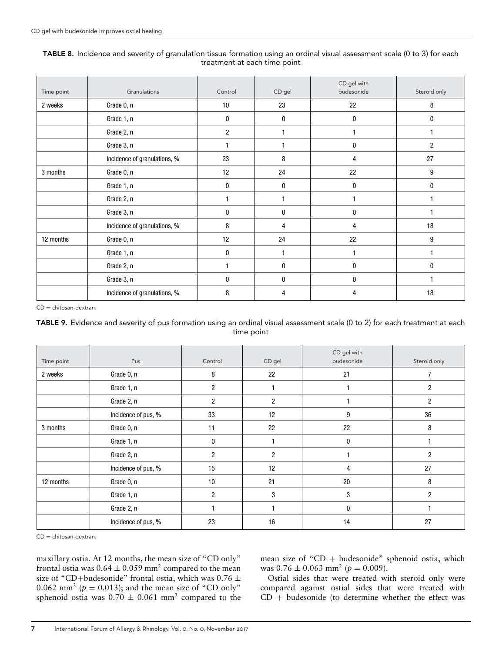#### TABLE 8. Incidence and severity of granulation tissue formation using an ordinal visual assessment scale (0 to 3) for each treatment at each time point

| Time point | Granulations                 | Control        | CD gel | CD gel with<br>budesonide | Steroid only |
|------------|------------------------------|----------------|--------|---------------------------|--------------|
| 2 weeks    | Grade 0, n                   | 10             | 23     | 22                        | 8            |
|            | Grade 1, n                   | $\bf{0}$       | 0      | 0                         | $\mathbf{0}$ |
|            | Grade 2, n                   | $\overline{c}$ |        |                           |              |
|            | Grade 3, n                   |                |        | 0                         | 2            |
|            | Incidence of granulations, % | 23             | 8      | 4                         | 27           |
| 3 months   | Grade 0, n                   | 12             | 24     | 22                        | 9            |
|            | Grade 1, n                   | $\mathbf{0}$   | 0      | 0                         | 0            |
|            | Grade 2, n                   |                |        |                           |              |
|            | Grade 3, n                   | 0              | 0      | 0                         |              |
|            | Incidence of granulations, % | 8              | 4      | 4                         | 18           |
| 12 months  | Grade 0, n                   | 12             | 24     | 22                        | 9            |
|            | Grade 1, n                   | 0              |        |                           |              |
|            | Grade 2, n                   |                | 0      | 0                         | $\mathbf{0}$ |
|            | Grade 3, n                   | $\bf{0}$       | 0      | 0                         |              |
|            | Incidence of granulations, % | 8              | 4      | 4                         | 18           |

CD = chitosan-dextran.

## TABLE 9. Evidence and severity of pus formation using an ordinal visual assessment scale (0 to 2) for each treatment at each time point

| Time point | Pus                 | Control        | CD gel         | CD gel with<br>budesonide | Steroid only   |
|------------|---------------------|----------------|----------------|---------------------------|----------------|
| 2 weeks    | Grade 0, n          | 8              | 22             | 21                        | 7              |
|            | Grade 1, n          | $\overline{2}$ |                |                           | $\overline{2}$ |
|            | Grade 2, n          | $\overline{2}$ | 2              |                           | $\overline{c}$ |
|            | Incidence of pus, % | 33             | 12             | 9                         | 36             |
| 3 months   | Grade 0, n          | 11             | 22             | 22                        | 8              |
|            | Grade 1, n          | 0              |                | $\bf{0}$                  |                |
|            | Grade 2, n          | $\overline{2}$ | $\overline{2}$ |                           | $\overline{2}$ |
|            | Incidence of pus, % | 15             | 12             | 4                         | 27             |
| 12 months  | Grade 0, n          | 10             | 21             | 20                        | 8              |
|            | Grade 1, n          | $\overline{2}$ | 3              | 3                         | $\overline{2}$ |
|            | Grade 2, n          |                |                | $\bf{0}$                  |                |
|            | Incidence of pus, % | 23             | 16             | 14                        | 27             |

 $CD =$  chitosan-dextran.

maxillary ostia. At 12 months, the mean size of "CD only" frontal ostia was  $0.64 \pm 0.059$  mm<sup>2</sup> compared to the mean size of "CD+budesonide" frontal ostia, which was 0.76  $\pm$ 0.062 mm<sup>2</sup> ( $p = 0.013$ ); and the mean size of "CD only" sphenoid ostia was  $0.70 \pm 0.061$  mm<sup>2</sup> compared to the

mean size of " $CD +$  budesonide" sphenoid ostia, which was  $0.76 \pm 0.063$  mm<sup>2</sup> ( $p = 0.009$ ).

Ostial sides that were treated with steroid only were compared against ostial sides that were treated with  $CD + b$ udesonide (to determine whether the effect was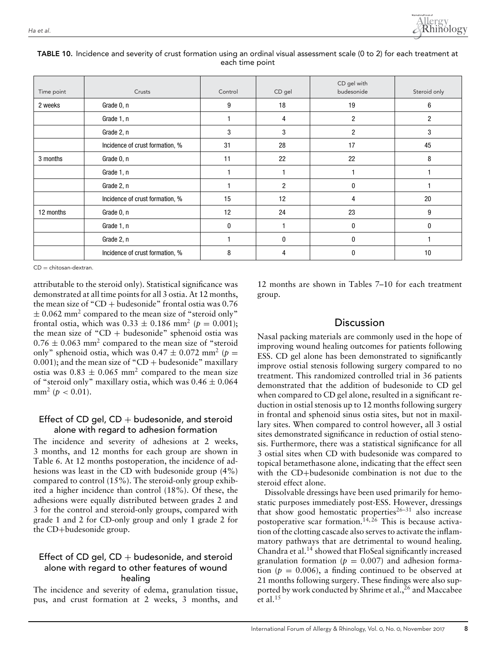

| Time point | Crusts                          | Control | CD gel | CD gel with<br>budesonide | Steroid only   |
|------------|---------------------------------|---------|--------|---------------------------|----------------|
| 2 weeks    | Grade 0, n                      | 9       | 18     | 19                        | 6              |
|            | Grade 1, n                      |         | 4      | 2                         | $\overline{c}$ |
|            | Grade 2, n                      | 3       | 3      | 2                         | 3              |
|            | Incidence of crust formation, % | 31      | 28     | 17                        | 45             |
| 3 months   | Grade 0, n                      | 11      | 22     | 22                        | 8              |
|            | Grade 1, n                      |         |        |                           |                |
|            | Grade 2, n                      |         | 2      | $\mathbf{0}$              |                |
|            | Incidence of crust formation, % | 15      | 12     | 4                         | 20             |
| 12 months  | Grade 0, n                      | 12      | 24     | 23                        | 9              |
|            | Grade 1, n                      | 0       |        | 0                         | 0              |
|            | Grade 2, n                      |         | 0      | 0                         |                |
|            | Incidence of crust formation, % | 8       | 4      | 0                         | 10             |

#### TABLE 10. Incidence and severity of crust formation using an ordinal visual assessment scale (0 to 2) for each treatment at each time point

 $CD =$  chitosan-dextran.

attributable to the steroid only). Statistical significance was demonstrated at all time points for all 3 ostia. At 12 months, the mean size of "CD + budesonide" frontal ostia was  $0.76$  $\pm$  0.062 mm<sup>2</sup> compared to the mean size of "steroid only" frontal ostia, which was  $0.33 \pm 0.186$  mm<sup>2</sup> ( $p = 0.001$ ); the mean size of "CD + budesonide" sphenoid ostia was  $0.76 \pm 0.063$  mm<sup>2</sup> compared to the mean size of "steroid" only" sphenoid ostia, which was  $0.47 \pm 0.072$  mm<sup>2</sup> ( $p =$  $0.001$ ); and the mean size of "CD + budesonide" maxillary ostia was  $0.83 \pm 0.065$  mm<sup>2</sup> compared to the mean size of "steroid only" maxillary ostia, which was  $0.46 \pm 0.064$ mm<sup>2</sup> ( $p < 0.01$ ).

## Effect of CD gel,  $CD +$  budesonide, and steroid alone with regard to adhesion formation

The incidence and severity of adhesions at 2 weeks, 3 months, and 12 months for each group are shown in Table 6. At 12 months postoperation, the incidence of adhesions was least in the CD with budesonide group (4%) compared to control (15%). The steroid-only group exhibited a higher incidence than control (18%). Of these, the adhesions were equally distributed between grades 2 and 3 for the control and steroid-only groups, compared with grade 1 and 2 for CD-only group and only 1 grade 2 for the CD+budesonide group.

## Effect of CD gel,  $CD +$  budesonide, and steroid alone with regard to other features of wound healing

The incidence and severity of edema, granulation tissue, pus, and crust formation at 2 weeks, 3 months, and 12 months are shown in Tables 7–10 for each treatment group.

# **Discussion**

Nasal packing materials are commonly used in the hope of improving wound healing outcomes for patients following ESS. CD gel alone has been demonstrated to significantly improve ostial stenosis following surgery compared to no treatment. This randomized controlled trial in 36 patients demonstrated that the addition of budesonide to CD gel when compared to CD gel alone, resulted in a significant reduction in ostial stenosis up to 12 months following surgery in frontal and sphenoid sinus ostia sites, but not in maxillary sites. When compared to control however, all 3 ostial sites demonstrated significance in reduction of ostial stenosis. Furthermore, there was a statistical significance for all 3 ostial sites when CD with budesonide was compared to topical betamethasone alone, indicating that the effect seen with the CD+budesonide combination is not due to the steroid effect alone.

Dissolvable dressings have been used primarily for hemostatic purposes immediately post-ESS. However, dressings that show good hemostatic properties $26-31$  also increase postoperative scar formation.<sup>14, 26</sup> This is because activation of the clotting cascade also serves to activate the inflammatory pathways that are detrimental to wound healing. Chandra et al.14 showed that FloSeal significantly increased granulation formation ( $p = 0.007$ ) and adhesion formation ( $p = 0.006$ ), a finding continued to be observed at 21 months following surgery. These findings were also supported by work conducted by Shrime et al.,  $^{26}$  and Maccabee et al. $15$